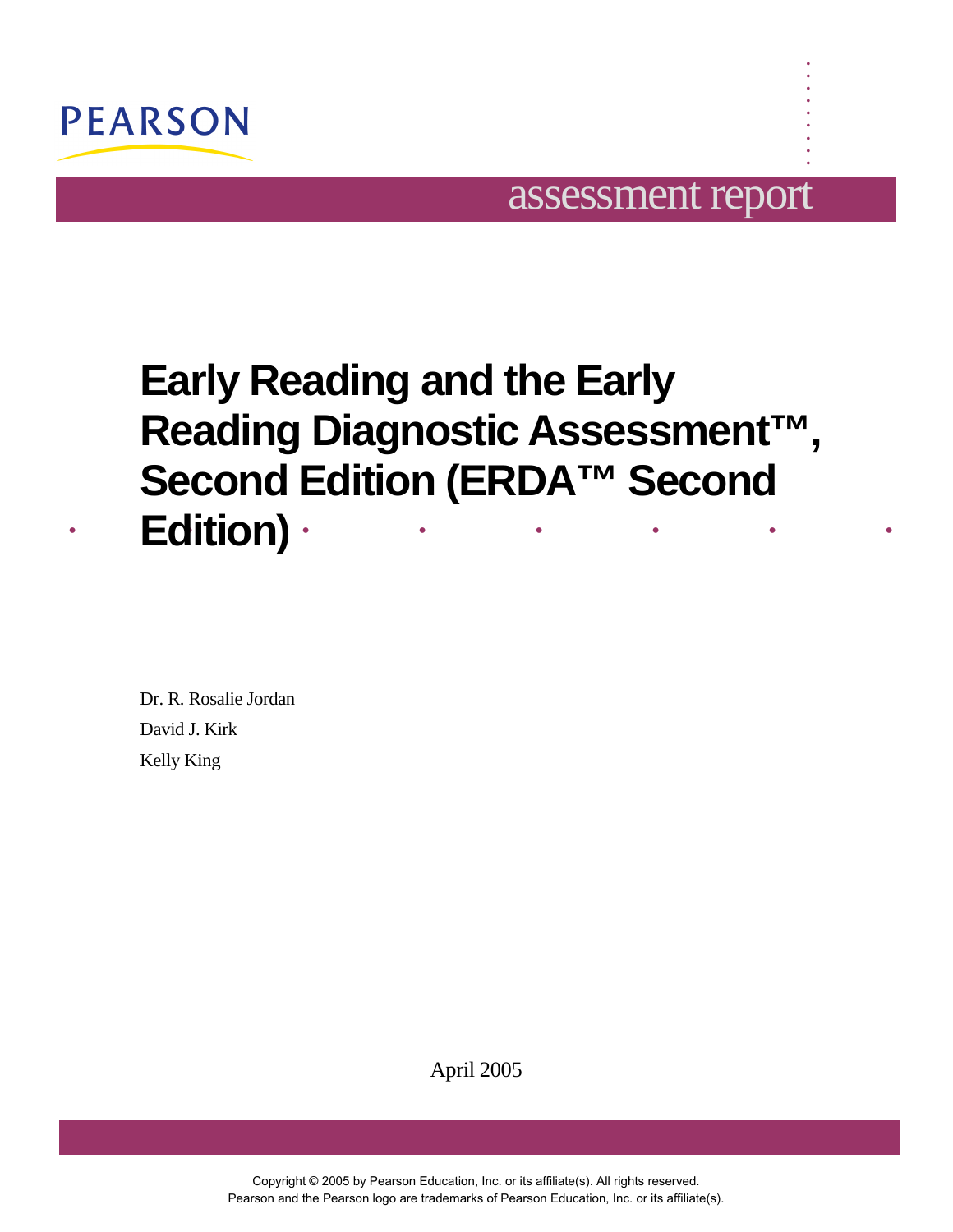

## assessment report

**. . . . . . . . .** 

# . . . . . . . . **Early Reading and the Early Reading Diagnostic Assessment™, Second Edition (ERDA™ Second Edition)**

Dr. R. Rosalie Jordan David J. Kirk Kelly King

April 2005

Copyright © 2005 by Pearson Education, Inc. or its affiliate(s). All rights reserved. Pearson and the Pearson logo are trademarks of Pearson Education, Inc. or its affiliate(s).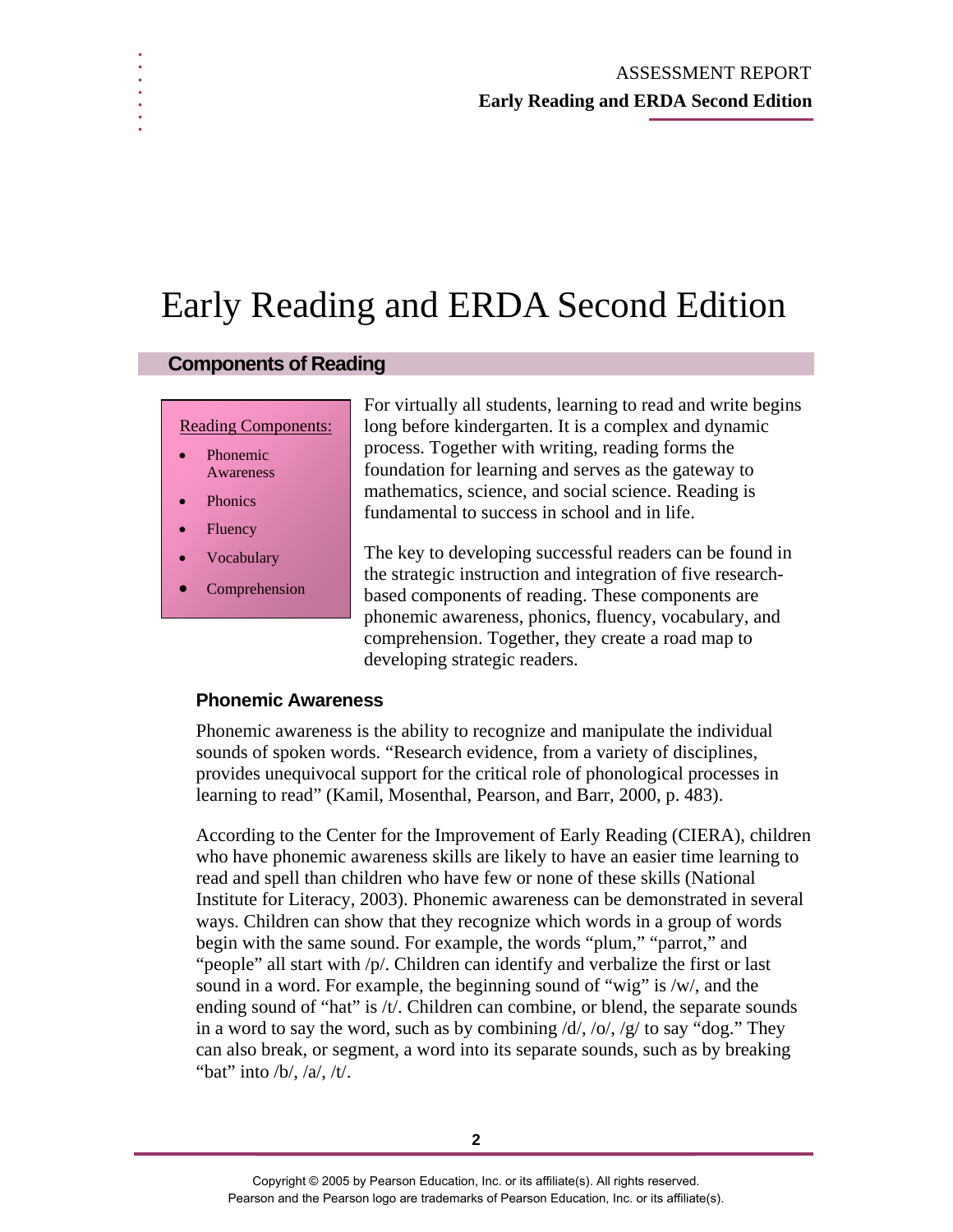# Early Reading and ERDA Second Edition

#### **Components of Reading**

#### Reading Components:

- **Phonemic** Awareness
- **Phonics**

**. . . . . . .** 

- **Fluency**
- **Vocabulary**
- **Comprehension**

For virtually all students, learning to read and write begins long before kindergarten. It is a complex and dynamic process. Together with writing, reading forms the foundation for learning and serves as the gateway to mathematics, science, and social science. Reading is fundamental to success in school and in life.

The key to developing successful readers can be found in the strategic instruction and integration of five researchbased components of reading. These components are phonemic awareness, phonics, fluency, vocabulary, and comprehension. Together, they create a road map to developing strategic readers.

#### **Phonemic Awareness**

Phonemic awareness is the ability to recognize and manipulate the individual sounds of spoken words. "Research evidence, from a variety of disciplines, provides unequivocal support for the critical role of phonological processes in learning to read" (Kamil, Mosenthal, Pearson, and Barr, 2000, p. 483).

According to the Center for the Improvement of Early Reading (CIERA), children who have phonemic awareness skills are likely to have an easier time learning to read and spell than children who have few or none of these skills (National Institute for Literacy, 2003). Phonemic awareness can be demonstrated in several ways. Children can show that they recognize which words in a group of words begin with the same sound. For example, the words "plum," "parrot," and "people" all start with /p/. Children can identify and verbalize the first or last sound in a word. For example, the beginning sound of "wig" is /w/, and the ending sound of "hat" is /t/. Children can combine, or blend, the separate sounds in a word to say the word, such as by combining  $\frac{d}{\sqrt{2}}$  to say "dog." They can also break, or segment, a word into its separate sounds, such as by breaking "bat" into  $/b/$ ,  $/a/$ ,  $/t/$ .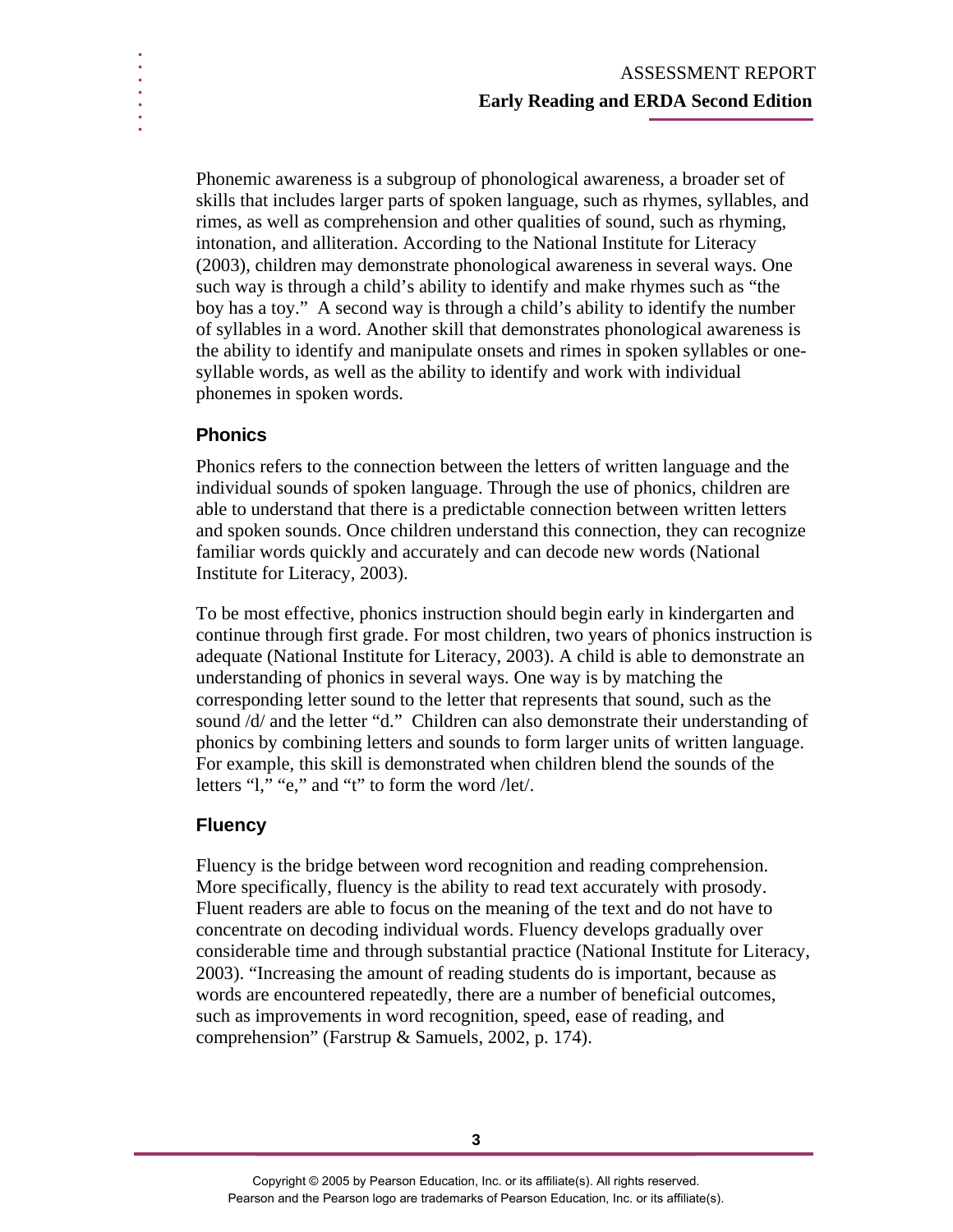Phonemic awareness is a subgroup of phonological awareness, a broader set of skills that includes larger parts of spoken language, such as rhymes, syllables, and rimes, as well as comprehension and other qualities of sound, such as rhyming, intonation, and alliteration. According to the National Institute for Literacy (2003), children may demonstrate phonological awareness in several ways. One such way is through a child's ability to identify and make rhymes such as "the boy has a toy." A second way is through a child's ability to identify the number of syllables in a word. Another skill that demonstrates phonological awareness is the ability to identify and manipulate onsets and rimes in spoken syllables or onesyllable words, as well as the ability to identify and work with individual phonemes in spoken words.

## **Phonics**

**. . . . . . .** 

> Phonics refers to the connection between the letters of written language and the individual sounds of spoken language. Through the use of phonics, children are able to understand that there is a predictable connection between written letters and spoken sounds. Once children understand this connection, they can recognize familiar words quickly and accurately and can decode new words (National Institute for Literacy, 2003).

To be most effective, phonics instruction should begin early in kindergarten and continue through first grade. For most children, two years of phonics instruction is adequate (National Institute for Literacy, 2003). A child is able to demonstrate an understanding of phonics in several ways. One way is by matching the corresponding letter sound to the letter that represents that sound, such as the sound /d/ and the letter "d." Children can also demonstrate their understanding of phonics by combining letters and sounds to form larger units of written language. For example, this skill is demonstrated when children blend the sounds of the letters "l," "e," and "t" to form the word /let/.

## **Fluency**

Fluency is the bridge between word recognition and reading comprehension. More specifically, fluency is the ability to read text accurately with prosody. Fluent readers are able to focus on the meaning of the text and do not have to concentrate on decoding individual words. Fluency develops gradually over considerable time and through substantial practice (National Institute for Literacy, 2003). "Increasing the amount of reading students do is important, because as words are encountered repeatedly, there are a number of beneficial outcomes, such as improvements in word recognition, speed, ease of reading, and comprehension" (Farstrup & Samuels, 2002, p. 174).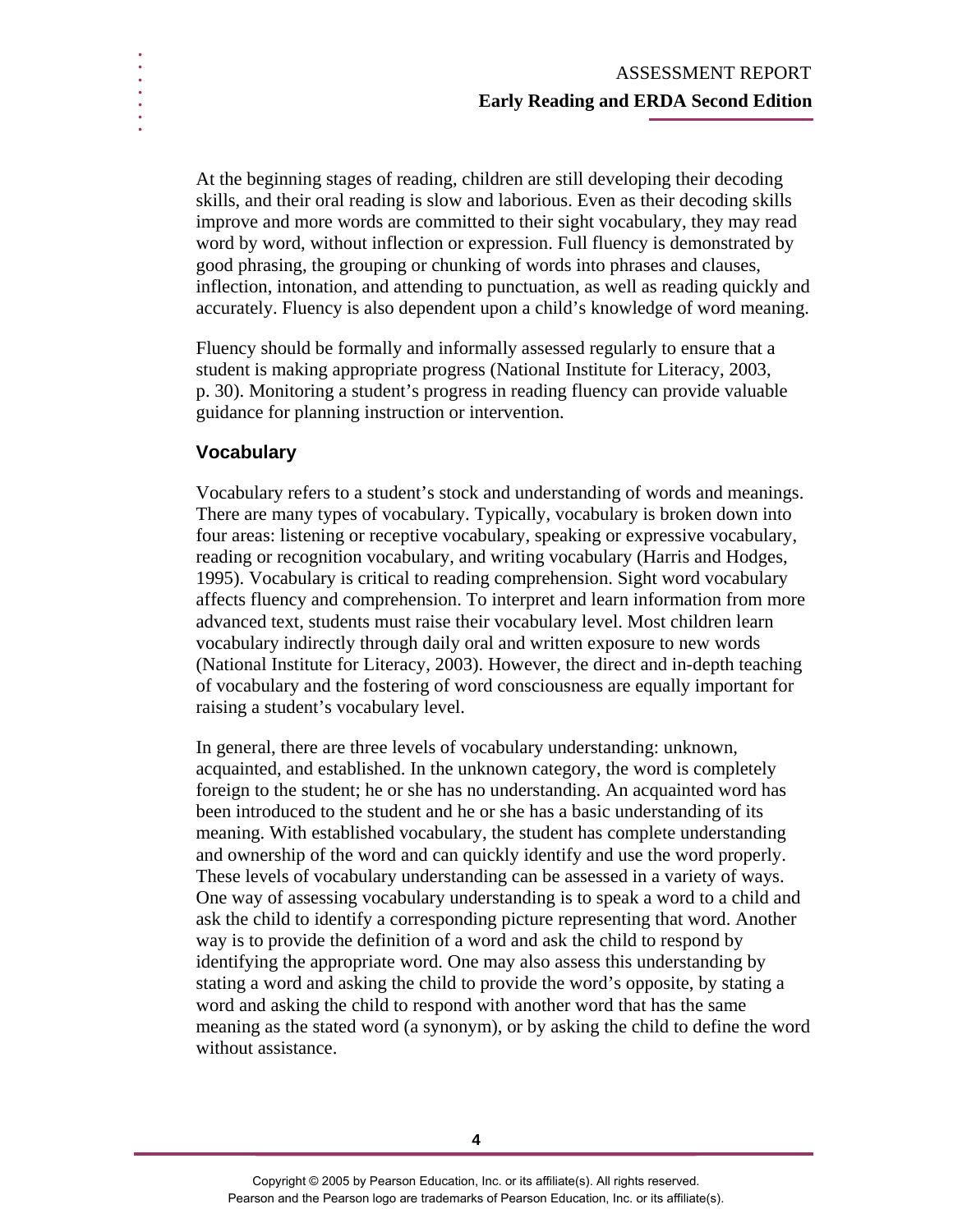At the beginning stages of reading, children are still developing their decoding skills, and their oral reading is slow and laborious. Even as their decoding skills improve and more words are committed to their sight vocabulary, they may read word by word, without inflection or expression. Full fluency is demonstrated by good phrasing, the grouping or chunking of words into phrases and clauses, inflection, intonation, and attending to punctuation, as well as reading quickly and accurately. Fluency is also dependent upon a child's knowledge of word meaning.

Fluency should be formally and informally assessed regularly to ensure that a student is making appropriate progress (National Institute for Literacy, 2003, p. 30). Monitoring a student's progress in reading fluency can provide valuable guidance for planning instruction or intervention.

## **Vocabulary**

**. . . . . . .** 

> Vocabulary refers to a student's stock and understanding of words and meanings. There are many types of vocabulary. Typically, vocabulary is broken down into four areas: listening or receptive vocabulary, speaking or expressive vocabulary, reading or recognition vocabulary, and writing vocabulary (Harris and Hodges, 1995). Vocabulary is critical to reading comprehension. Sight word vocabulary affects fluency and comprehension. To interpret and learn information from more advanced text, students must raise their vocabulary level. Most children learn vocabulary indirectly through daily oral and written exposure to new words (National Institute for Literacy, 2003). However, the direct and in-depth teaching of vocabulary and the fostering of word consciousness are equally important for raising a student's vocabulary level.

> In general, there are three levels of vocabulary understanding: unknown, acquainted, and established. In the unknown category, the word is completely foreign to the student; he or she has no understanding. An acquainted word has been introduced to the student and he or she has a basic understanding of its meaning. With established vocabulary, the student has complete understanding and ownership of the word and can quickly identify and use the word properly. These levels of vocabulary understanding can be assessed in a variety of ways. One way of assessing vocabulary understanding is to speak a word to a child and ask the child to identify a corresponding picture representing that word. Another way is to provide the definition of a word and ask the child to respond by identifying the appropriate word. One may also assess this understanding by stating a word and asking the child to provide the word's opposite, by stating a word and asking the child to respond with another word that has the same meaning as the stated word (a synonym), or by asking the child to define the word without assistance.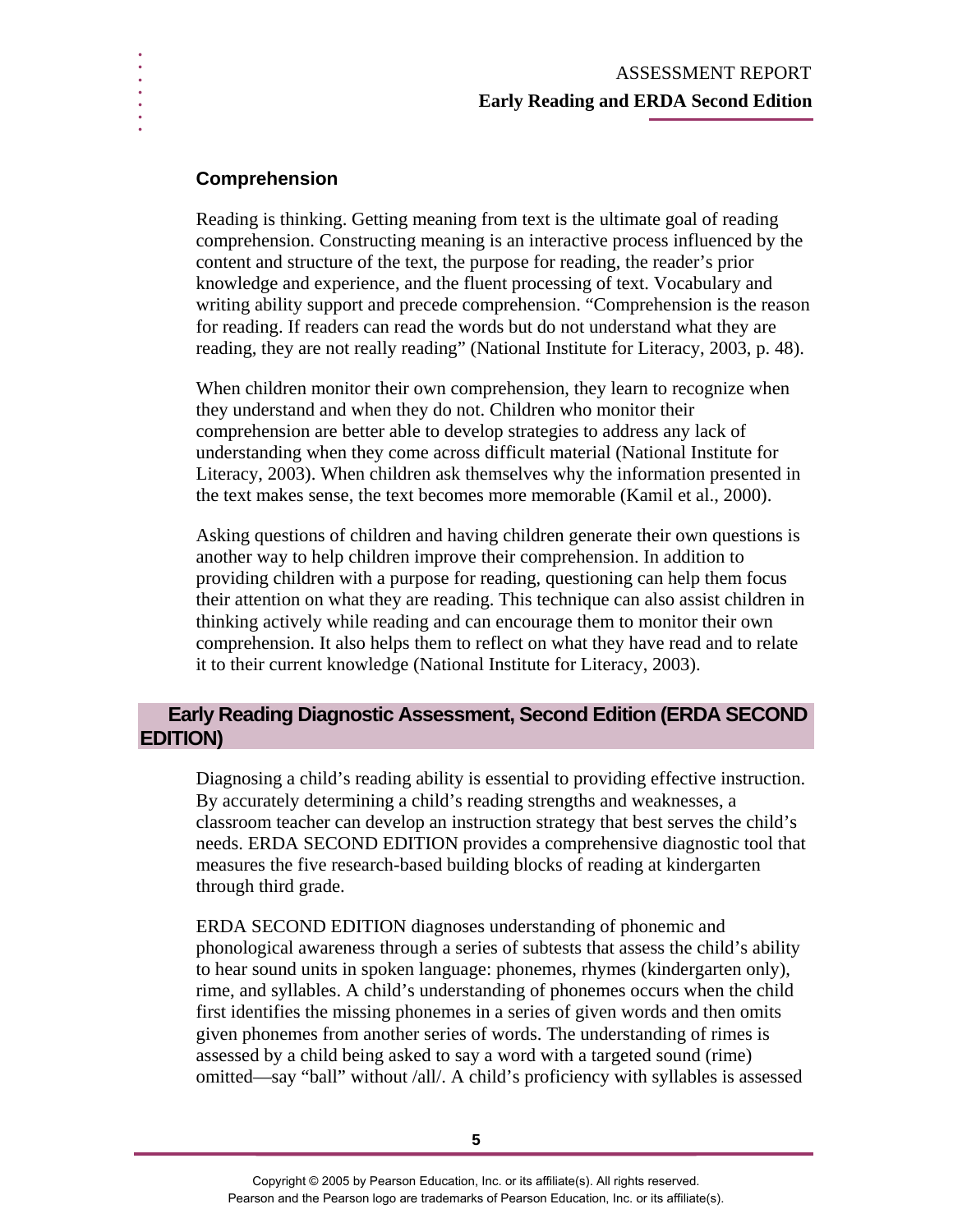### **Comprehension**

**. . . . . . .** 

> Reading is thinking. Getting meaning from text is the ultimate goal of reading comprehension. Constructing meaning is an interactive process influenced by the content and structure of the text, the purpose for reading, the reader's prior knowledge and experience, and the fluent processing of text. Vocabulary and writing ability support and precede comprehension. "Comprehension is the reason for reading. If readers can read the words but do not understand what they are reading, they are not really reading" (National Institute for Literacy, 2003, p. 48).

When children monitor their own comprehension, they learn to recognize when they understand and when they do not. Children who monitor their comprehension are better able to develop strategies to address any lack of understanding when they come across difficult material (National Institute for Literacy, 2003). When children ask themselves why the information presented in the text makes sense, the text becomes more memorable (Kamil et al., 2000).

Asking questions of children and having children generate their own questions is another way to help children improve their comprehension. In addition to providing children with a purpose for reading, questioning can help them focus their attention on what they are reading. This technique can also assist children in thinking actively while reading and can encourage them to monitor their own comprehension. It also helps them to reflect on what they have read and to relate it to their current knowledge (National Institute for Literacy, 2003).

## **Early Reading Diagnostic Assessment, Second Edition (ERDA SECOND EDITION)**

Diagnosing a child's reading ability is essential to providing effective instruction. By accurately determining a child's reading strengths and weaknesses, a classroom teacher can develop an instruction strategy that best serves the child's needs. ERDA SECOND EDITION provides a comprehensive diagnostic tool that measures the five research-based building blocks of reading at kindergarten through third grade.

ERDA SECOND EDITION diagnoses understanding of phonemic and phonological awareness through a series of subtests that assess the child's ability to hear sound units in spoken language: phonemes, rhymes (kindergarten only), rime, and syllables. A child's understanding of phonemes occurs when the child first identifies the missing phonemes in a series of given words and then omits given phonemes from another series of words. The understanding of rimes is assessed by a child being asked to say a word with a targeted sound (rime) omitted—say "ball" without /all/. A child's proficiency with syllables is assessed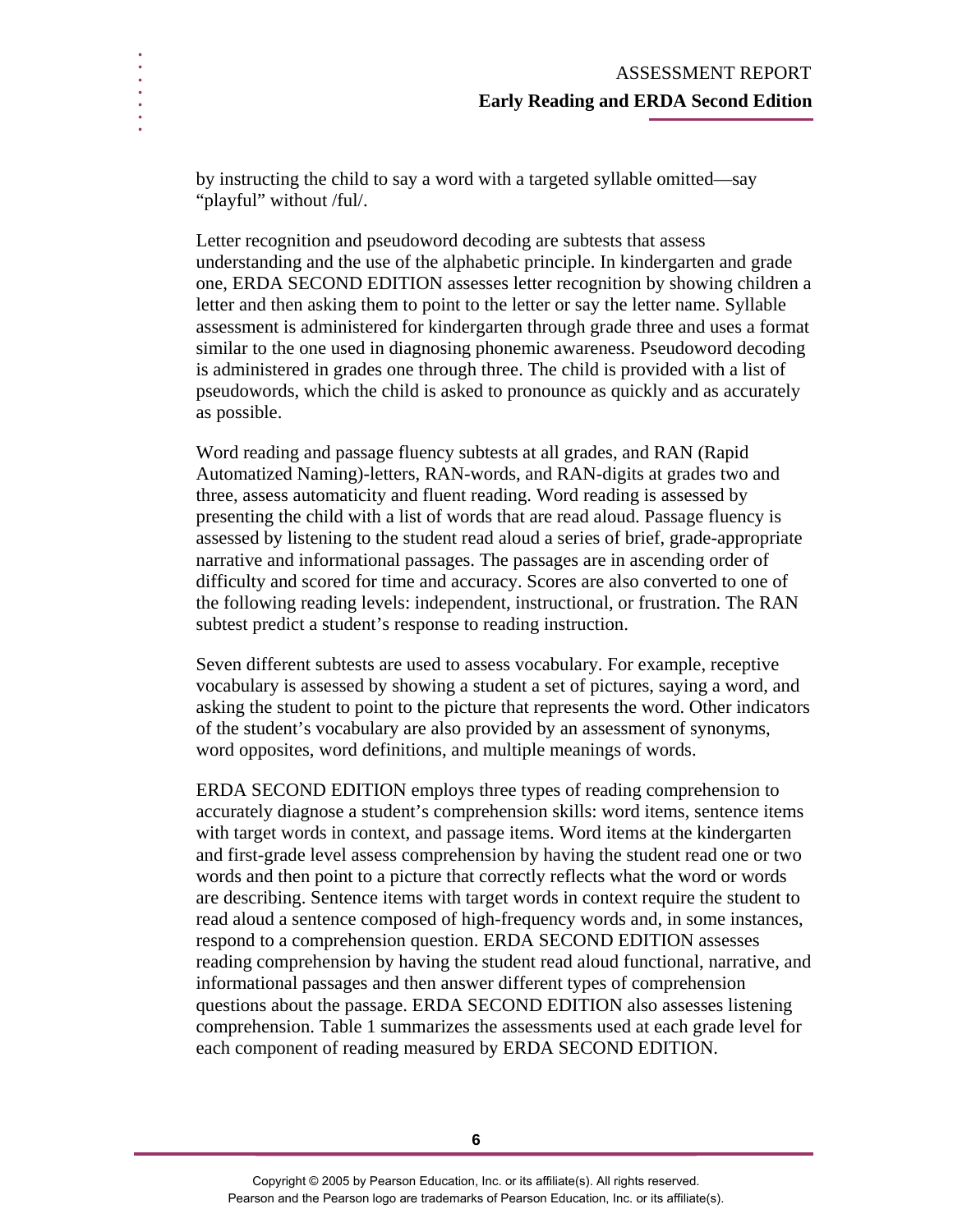by instructing the child to say a word with a targeted syllable omitted—say "playful" without /ful/.

**. . . . . . .** 

> Letter recognition and pseudoword decoding are subtests that assess understanding and the use of the alphabetic principle. In kindergarten and grade one, ERDA SECOND EDITION assesses letter recognition by showing children a letter and then asking them to point to the letter or say the letter name. Syllable assessment is administered for kindergarten through grade three and uses a format similar to the one used in diagnosing phonemic awareness. Pseudoword decoding is administered in grades one through three. The child is provided with a list of pseudowords, which the child is asked to pronounce as quickly and as accurately as possible.

Word reading and passage fluency subtests at all grades, and RAN (Rapid Automatized Naming)-letters, RAN-words, and RAN-digits at grades two and three, assess automaticity and fluent reading. Word reading is assessed by presenting the child with a list of words that are read aloud. Passage fluency is assessed by listening to the student read aloud a series of brief, grade-appropriate narrative and informational passages. The passages are in ascending order of difficulty and scored for time and accuracy. Scores are also converted to one of the following reading levels: independent, instructional, or frustration. The RAN subtest predict a student's response to reading instruction.

Seven different subtests are used to assess vocabulary. For example, receptive vocabulary is assessed by showing a student a set of pictures, saying a word, and asking the student to point to the picture that represents the word. Other indicators of the student's vocabulary are also provided by an assessment of synonyms, word opposites, word definitions, and multiple meanings of words.

ERDA SECOND EDITION employs three types of reading comprehension to accurately diagnose a student's comprehension skills: word items, sentence items with target words in context, and passage items. Word items at the kindergarten and first-grade level assess comprehension by having the student read one or two words and then point to a picture that correctly reflects what the word or words are describing. Sentence items with target words in context require the student to read aloud a sentence composed of high-frequency words and, in some instances, respond to a comprehension question. ERDA SECOND EDITION assesses reading comprehension by having the student read aloud functional, narrative, and informational passages and then answer different types of comprehension questions about the passage. ERDA SECOND EDITION also assesses listening comprehension. Table 1 summarizes the assessments used at each grade level for each component of reading measured by ERDA SECOND EDITION.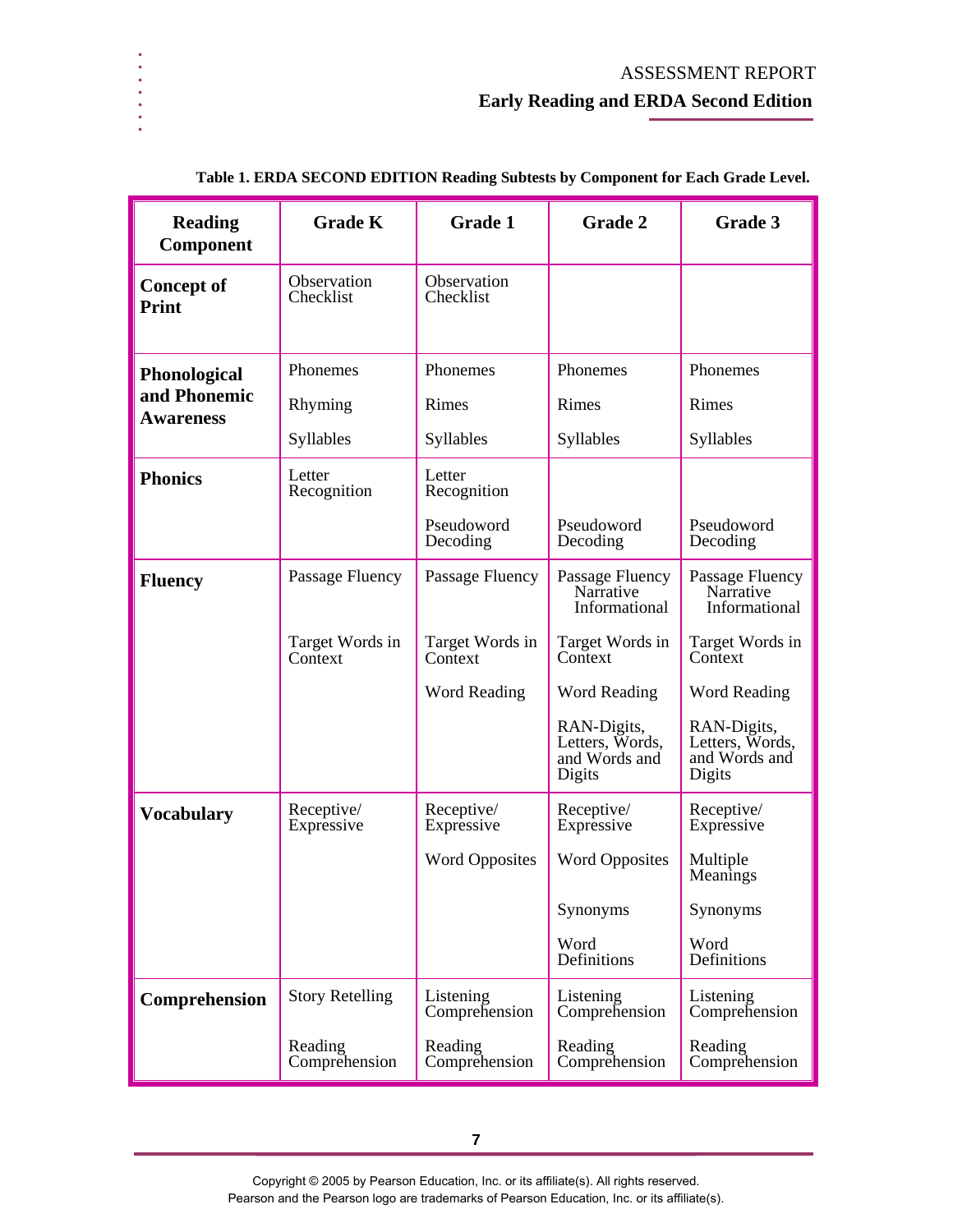| <b>Reading</b><br><b>Component</b>                      | <b>Grade K</b>                                     | <b>Grade 1</b>                                                       | <b>Grade 2</b>                                                                                                                                                  | Grade 3                                                                                                                                                         |
|---------------------------------------------------------|----------------------------------------------------|----------------------------------------------------------------------|-----------------------------------------------------------------------------------------------------------------------------------------------------------------|-----------------------------------------------------------------------------------------------------------------------------------------------------------------|
| <b>Concept of</b><br>Print                              | Observation<br>Checklist                           | Observation<br>Checklist                                             |                                                                                                                                                                 |                                                                                                                                                                 |
| <b>Phonological</b><br>and Phonemic<br><b>Awareness</b> | Phonemes<br>Rhyming<br>Syllables                   | Phonemes<br>Rimes<br>Syllables                                       | Phonemes<br>Rimes<br>Syllables                                                                                                                                  | Phonemes<br>Rimes<br>Syllables                                                                                                                                  |
| <b>Phonics</b>                                          | Letter<br>Recognition                              | Letter<br>Recognition<br>Pseudoword<br>Decoding                      | Pseudoword<br>Decoding                                                                                                                                          | Pseudoword<br>Decoding                                                                                                                                          |
| <b>Fluency</b>                                          | Passage Fluency<br>Target Words in<br>Context      | Passage Fluency<br>Target Words in<br>Context<br><b>Word Reading</b> | Passage Fluency<br>Narrative<br>Informational<br>Target Words in<br>Context<br><b>Word Reading</b><br>RAN-Digits,<br>Letters, Words,<br>and Words and<br>Digits | Passage Fluency<br>Narrative<br>Informational<br>Target Words in<br>Context<br><b>Word Reading</b><br>RAN-Digits,<br>Letters, Words,<br>and Words and<br>Digits |
| <b>Vocabulary</b>                                       | Receptive/<br>Expressive                           | Receptive/<br>Expressive<br><b>Word Opposites</b>                    | Receptive/<br>Expressive<br><b>Word Opposites</b><br>Synonyms<br>Word<br>Definitions                                                                            | Receptive/<br>Expressive<br>Multiple<br>Meanings<br>Synonyms<br>Word<br>Definitions                                                                             |
| Comprehension                                           | <b>Story Retelling</b><br>Reading<br>Comprehension | Listening<br>Comprehension<br>Reading<br>Comprehension               | Listening<br>Comprehension<br>Reading<br>Comprehension                                                                                                          | Listening<br>Comprehension<br>Reading<br>Comprehension                                                                                                          |

#### **Table 1. ERDA SECOND EDITION Reading Subtests by Component for Each Grade Level.**

**. . . . . . .** 

**7** 

Copyright © 2005 by Pearson Education, Inc. or its affiliate(s). All rights reserved. Pearson and the Pearson logo are trademarks of Pearson Education, Inc. or its affiliate(s).